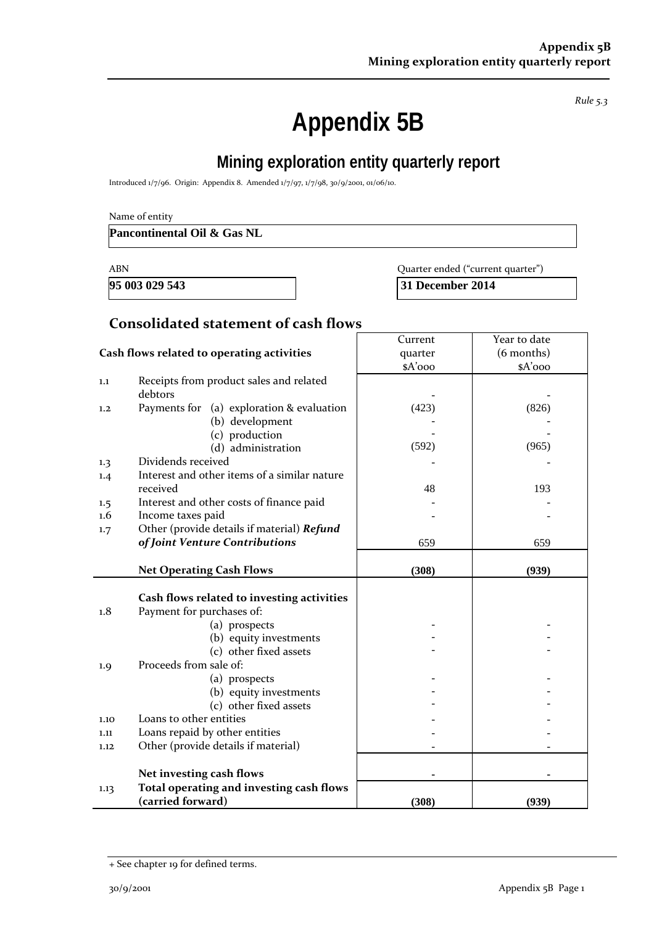*Rule 5.3*

# **Appendix 5B**

# **Mining exploration entity quarterly report**

 $\mathsf I$ 

Introduced 1/7/96. Origin: Appendix 8. Amended 1/7/97, 1/7/98, 30/9/2001, 01/06/10.

**Pancontinental Oil & Gas NL** 

**95 003 029 543** 31 December 2014

ABN Quarter ended ("current quarter")

### **Consolidated statement of cash flows**

|                                            |                                                               | Current | Year to date |
|--------------------------------------------|---------------------------------------------------------------|---------|--------------|
| Cash flows related to operating activities |                                                               | quarter | (6 months)   |
|                                            |                                                               | \$A'ooo | \$A'ooo      |
| 1.1                                        | Receipts from product sales and related                       |         |              |
|                                            | debtors                                                       |         |              |
| 1,2                                        | Payments for (a) exploration & evaluation                     | (423)   | (826)        |
|                                            | (b) development                                               |         |              |
|                                            | (c) production                                                |         |              |
|                                            | (d) administration                                            | (592)   | (965)        |
| 1.3                                        | Dividends received                                            |         |              |
| 1.4                                        | Interest and other items of a similar nature                  |         |              |
|                                            | received                                                      | 48      | 193          |
| 1.5                                        | Interest and other costs of finance paid                      |         |              |
| $1.6\phantom{0}$                           | Income taxes paid                                             |         |              |
| 1.7                                        | Other (provide details if material) Refund                    |         |              |
|                                            | of Joint Venture Contributions                                | 659     | 659          |
|                                            |                                                               |         |              |
|                                            | <b>Net Operating Cash Flows</b>                               | (308)   | (939)        |
|                                            |                                                               |         |              |
|                                            | Cash flows related to investing activities                    |         |              |
| 1.8                                        | Payment for purchases of:                                     |         |              |
|                                            | (a) prospects                                                 |         |              |
|                                            | (b) equity investments                                        |         |              |
|                                            | (c) other fixed assets                                        |         |              |
| 1.9                                        | Proceeds from sale of:                                        |         |              |
|                                            | (a) prospects                                                 |         |              |
|                                            | (b) equity investments                                        |         |              |
|                                            | (c) other fixed assets                                        |         |              |
| 1.10                                       | Loans to other entities                                       |         |              |
| 1.11                                       | Loans repaid by other entities                                |         |              |
| 1.12                                       | Other (provide details if material)                           |         |              |
|                                            |                                                               |         |              |
|                                            |                                                               |         |              |
|                                            | Net investing cash flows                                      |         |              |
| 1.13                                       | Total operating and investing cash flows<br>(carried forward) | (308)   | (939)        |

<sup>+</sup> See chapter 19 for defined terms.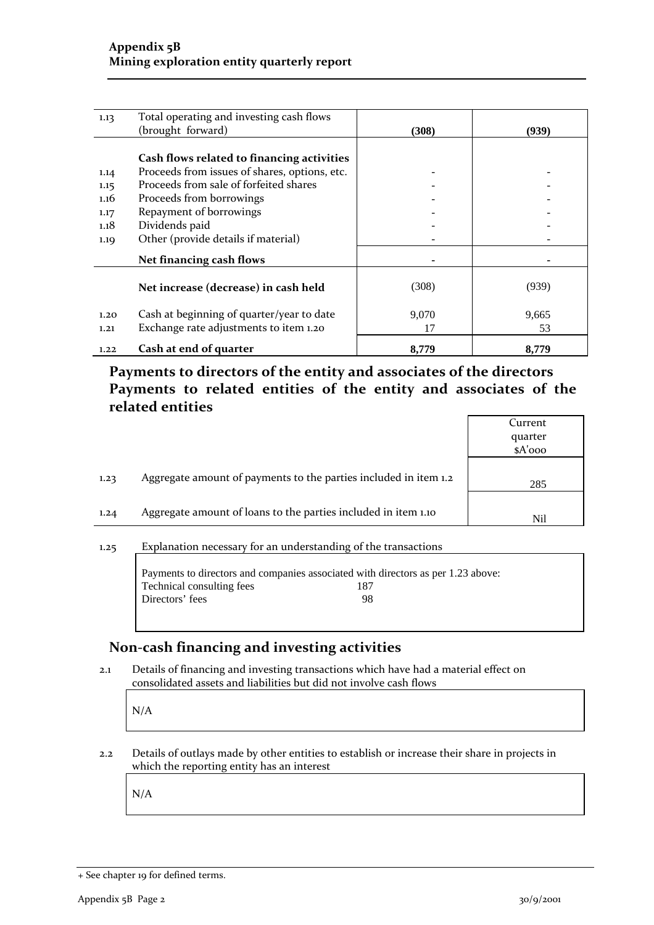| 1.13 | Total operating and investing cash flows      |       |       |
|------|-----------------------------------------------|-------|-------|
|      | (brought forward)                             | (308) | (939) |
|      |                                               |       |       |
|      | Cash flows related to financing activities    |       |       |
| 1.14 | Proceeds from issues of shares, options, etc. |       |       |
| 1.15 | Proceeds from sale of forfeited shares        |       |       |
| 1.16 | Proceeds from borrowings                      |       |       |
| 1.17 | Repayment of borrowings                       |       |       |
| 1.18 | Dividends paid                                |       |       |
| 1.19 | Other (provide details if material)           |       |       |
|      | Net financing cash flows                      |       |       |
|      |                                               |       |       |
|      | Net increase (decrease) in cash held          | (308) | (939) |
| 1.20 | Cash at beginning of quarter/year to date     | 9,070 | 9,665 |
| 1.21 | Exchange rate adjustments to item 1.20        | 17    | 53    |
|      |                                               |       |       |
| 1.22 | Cash at end of quarter                        | 8,779 | 8,779 |

**Payments to directors of the entity and associates of the directors Payments to related entities of the entity and associates of the related entities**

|      |                                                                  | Current  |
|------|------------------------------------------------------------------|----------|
|      |                                                                  | quarter  |
|      |                                                                  | $A'$ ooo |
|      |                                                                  |          |
| 1.23 | Aggregate amount of payments to the parties included in item 1.2 | 285      |
|      |                                                                  |          |
| 1.24 | Aggregate amount of loans to the parties included in item 1.10   | Nil      |
|      |                                                                  |          |

#### 1.25 Explanation necessary for an understanding of the transactions

Payments to directors and companies associated with directors as per 1.23 above: Technical consulting fees 187 Directors' fees 98

### **Non‐cash financing and investing activities**

2.1 Details of financing and investing transactions which have had a material effect on consolidated assets and liabilities but did not involve cash flows

and the property N/A

2.2 Details of outlays made by other entities to establish or increase their share in projects in which the reporting entity has an interest

N/A

and the property

<sup>+</sup> See chapter 19 for defined terms.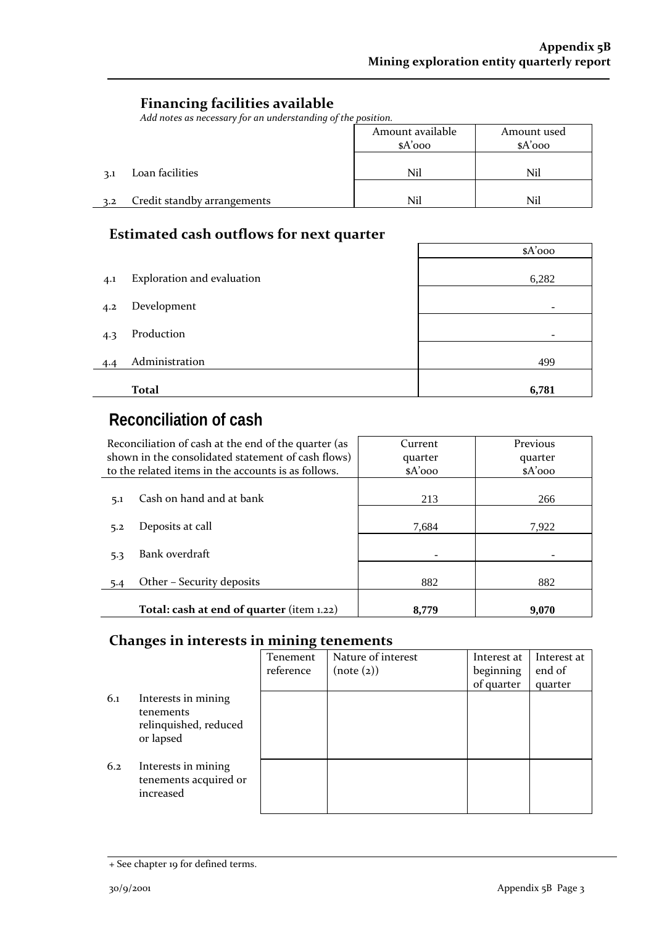### **Financing facilities available**

*Add notes as necessary for an understanding of the position.*

|     |                             | Amount available | Amount used |
|-----|-----------------------------|------------------|-------------|
|     |                             | $A'$ 000         | $A'$ 000    |
| 3.1 | Loan facilities             | Nil              | Nil         |
| 3.2 | Credit standby arrangements | Nil              | Nil         |

### **Estimated cash outflows for next quarter**

|     |                            | \$A'ooo                  |
|-----|----------------------------|--------------------------|
| 4.1 | Exploration and evaluation | 6,282                    |
| 4.2 | Development                | $\overline{\phantom{0}}$ |
| 4.3 | Production                 |                          |
| 4.4 | Administration             | 499                      |
|     | <b>Total</b>               | 6,781                    |

## **Reconciliation of cash**

| Reconciliation of cash at the end of the quarter (as | Current  | Previous |
|------------------------------------------------------|----------|----------|
| shown in the consolidated statement of cash flows)   | quarter  | quarter  |
| to the related items in the accounts is as follows.  | $A'$ ooo | $A'$ 000 |
|                                                      |          |          |
| Cash on hand and at bank<br>5.1                      | 213      | 266      |
|                                                      |          |          |
| Deposits at call<br>5.2                              | 7.684    | 7,922    |
|                                                      |          |          |
| Bank overdraft<br>5.3                                |          |          |
|                                                      |          |          |
| Other – Security deposits<br>5.4                     | 882      | 882      |
|                                                      |          |          |
| Total: cash at end of quarter (item 1.22)            | 8.779    | 9.070    |

### **Changes in interests in mining tenements**

|     | .,                                                                     | .,        |                    |             |             |
|-----|------------------------------------------------------------------------|-----------|--------------------|-------------|-------------|
|     |                                                                        | Tenement  | Nature of interest | Interest at | Interest at |
|     |                                                                        | reference | (note (2))         | beginning   | end of      |
|     |                                                                        |           |                    | of quarter  | quarter     |
| 6.1 | Interests in mining<br>tenements<br>relinquished, reduced<br>or lapsed |           |                    |             |             |
| 6.2 | Interests in mining<br>tenements acquired or<br>increased              |           |                    |             |             |

<sup>+</sup> See chapter 19 for defined terms.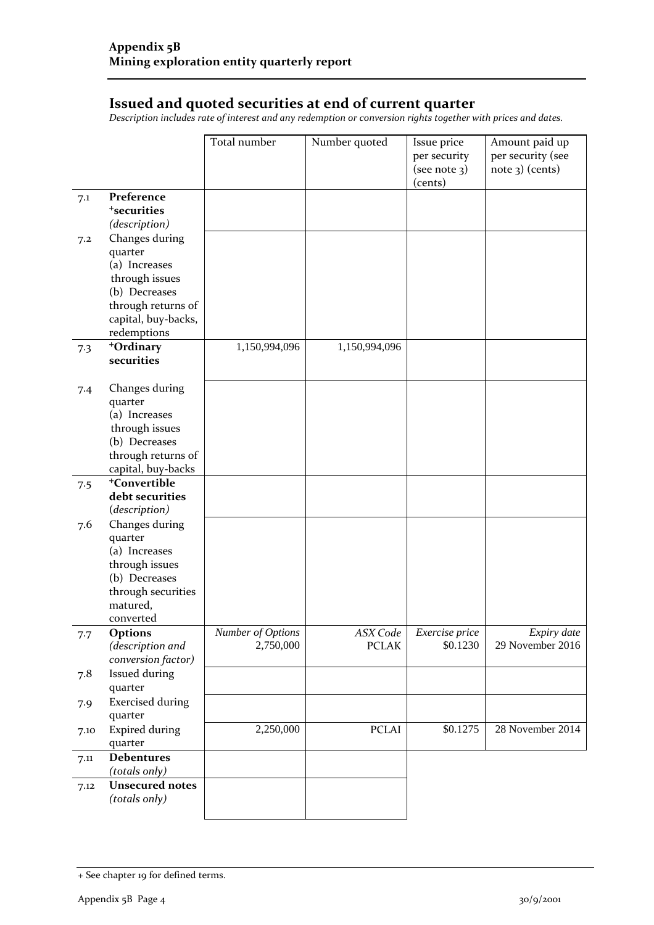### **Issued and quoted securities at end of current quarter**

*Description includes rate of interest and any redemption or conversion rights together with prices and dates.*

|            |                                                                                                                                           | Total number                   | Number quoted            | Issue price<br>per security<br>(see note 3)<br>(cents) | Amount paid up<br>per security (see<br>$note$ 3) (cents) |
|------------|-------------------------------------------------------------------------------------------------------------------------------------------|--------------------------------|--------------------------|--------------------------------------------------------|----------------------------------------------------------|
| 7.1        | Preference<br><i><b>*securities</b></i><br>(description)                                                                                  |                                |                          |                                                        |                                                          |
| 7.2        | Changes during<br>quarter<br>(a) Increases<br>through issues<br>(b) Decreases<br>through returns of<br>capital, buy-backs,<br>redemptions |                                |                          |                                                        |                                                          |
| 7.3        | +Ordinary<br>securities                                                                                                                   | 1,150,994,096                  | 1,150,994,096            |                                                        |                                                          |
| 7.4        | Changes during<br>quarter<br>(a) Increases<br>through issues<br>(b) Decreases<br>through returns of<br>capital, buy-backs                 |                                |                          |                                                        |                                                          |
| 7.5        | +Convertible<br>debt securities<br>(description)                                                                                          |                                |                          |                                                        |                                                          |
| 7.6        | Changes during<br>quarter<br>(a) Increases<br>through issues<br>(b) Decreases<br>through securities<br>matured,<br>converted              |                                |                          |                                                        |                                                          |
| 7.7        | <b>Options</b><br>(description and<br>conversion factor)                                                                                  | Number of Options<br>2,750,000 | ASX Code<br><b>PCLAK</b> | Exercise price<br>\$0.1230                             | Expiry date<br>29 November 2016                          |
| 7.8<br>7.9 | Issued during<br>quarter<br><b>Exercised during</b>                                                                                       |                                |                          |                                                        |                                                          |
| 7.10       | quarter<br><b>Expired during</b><br>quarter                                                                                               | 2,250,000                      | <b>PCLAI</b>             | \$0.1275                                               | 28 November 2014                                         |
| 7.11       | <b>Debentures</b><br>(totals only)                                                                                                        |                                |                          |                                                        |                                                          |
| 7.12       | <b>Unsecured notes</b><br>(totals only)                                                                                                   |                                |                          |                                                        |                                                          |

<sup>+</sup> See chapter 19 for defined terms.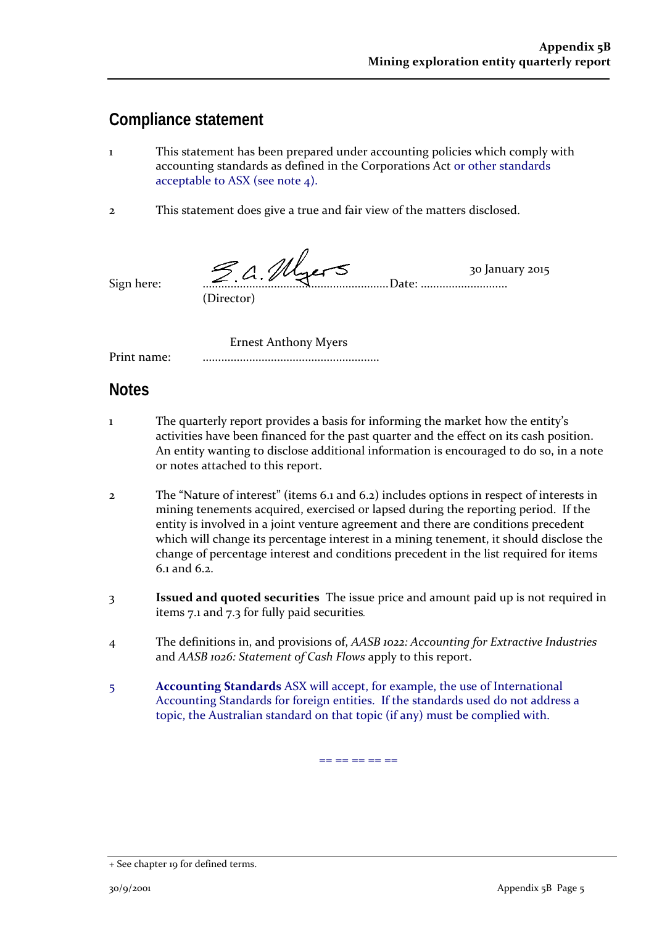### **Compliance statement**

- 1 This statement has been prepared under accounting policies which comply with accounting standards as defined in the Corporations Act or other standards acceptable to ASX (see note 4).
- 2 This statement does give a true and fair view of the matters disclosed.

 $\overline{\phantom{a}}$  $\leq$   $\wedge$   $\mathcal{M}_{\text{max}}$   $\leq$  30 January 2015 Sign here: ............................................................Date: ............................ (Director)

Ernest Anthony Myers

Print name: .........................................................

### **Notes**

- 1 The quarterly report provides a basis for informing the market how the entity's activities have been financed for the past quarter and the effect on its cash position. An entity wanting to disclose additional information is encouraged to do so, in a note or notes attached to this report.
- 2 The "Nature of interest" (items 6.1 and 6.2) includes options in respect of interests in mining tenements acquired, exercised or lapsed during the reporting period. If the entity is involved in a joint venture agreement and there are conditions precedent which will change its percentage interest in a mining tenement, it should disclose the change of percentage interest and conditions precedent in the list required for items  $6.1$  and  $6.2$ .
- 3 **Issued and quoted securities** The issue price and amount paid up is not required in items 7.1 and 7.3 for fully paid securities*.*
- 4 The definitions in, and provisions of, *AASB 1022: Accounting for Extractive Industries* and *AASB 1026: Statement of Cash Flows* apply to this report.
- 5 **Accounting Standards** ASX will accept, for example, the use of International Accounting Standards for foreign entities. If the standards used do not address a topic, the Australian standard on that topic (if any) must be complied with.

== == == == ==

<sup>+</sup> See chapter 19 for defined terms.